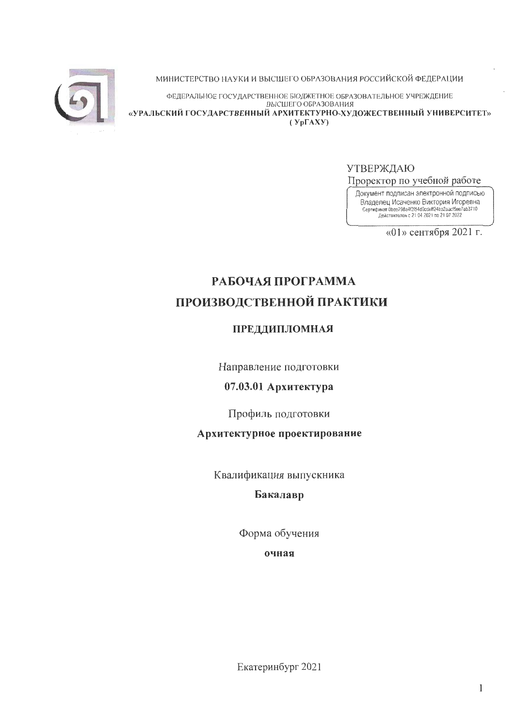

МИНИСТЕРСТВО НАУКИ И ВЫСШЕГО ОБРАЗОВАНИЯ РОССИЙСКОЙ ФЕДЕРАЦИИ

ФЕДЕРАЛЬНОЕ ГОСУДАРСТВЕННОЕ БЮДЖЕТНОЕ ОБРАЗОВАТЕЛЬНОЕ УЧРЕЖДЕНИЕ ВЫСШЕГО ОБРАЗОВАНИЯ «УРАЛЬСКИЙ ГОСУДАРСТВЕННЫЙ АРХИТЕКТУРНО-ХУДОЖЕСТВЕННЫЙ УНИВЕРСИТЕТ»  $(Yp\Gamma A X Y)$ 

УТВЕРЖДАЮ

Проректор по учебной работе

Документ подписан электронной подписью Владелец Исаченко Виктория Игоревна<br>Сертификат Фрег798a4f2f54d9cdeff24ba2aacf5ee7ab3710<br>Действителен с 21.04 2021 по 21.07.2022

«01» сентября 2021 г.

# РАБОЧАЯ ПРОГРАММА ПРОИЗВОДСТВЕННОЙ ПРАКТИКИ

# ПРЕДДИПЛОМНАЯ

Направление подготовки

07.03.01 Архитектура

Профиль подготовки

Архитектурное проектирование

Квалификация выпускника

Бакалавр

Форма обучения

очная

Екатеринбург 2021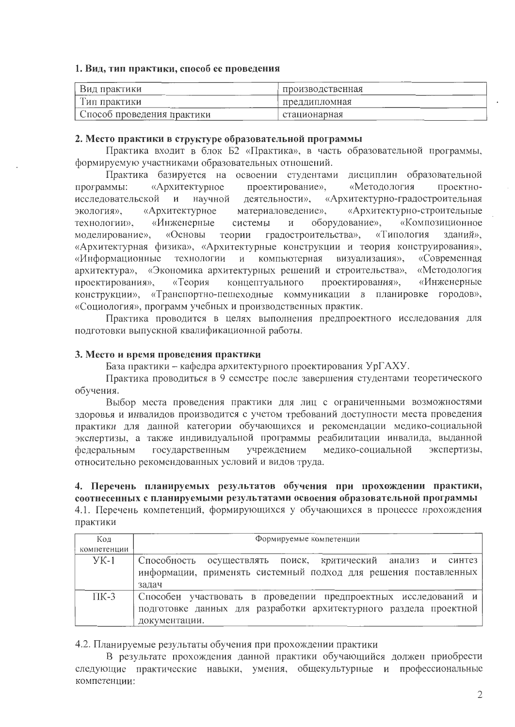## 1. Вид, тип практики, способ ее проведения

| Вид практики               | производственная |
|----------------------------|------------------|
| ' ип практики              | преддипломная    |
| Способ проведения практики | стационарная     |

## 2. Место практики в структуре образовательной программы

Практика входит в блок Б2 «Практика», в часть образовательной программы, формируемую участниками образовательных отношений.

Практика базируется на освоении студентами дисциплин образовательной проектирование», проектно-«Архитектурное «Методология программы: научной деятельности», «Архитектурно-градостроительная исследовательской  $\mathbf{M}$ материаловедение», «Архитектурно-строительные «Архитектурное экология». оборудование», «Композиционное «Инженерные системы технологии».  $\mathbf{M}$ «Основы теории градостроительства», «Типология зланий». моделирование». «Архитектурная физика», «Архитектурные конструкции и теория конструирования», «Информационные технологии и компьютерная визуализация», «Современная архитектура», «Экономика архитектурных решений и строительства», «Методология проектирования», «Теория концептуального проектирования», «Инженерные конструкции», «Транспортно-пешеходные коммуникации в планировке городов», «Социология», программ учебных и производственных практик.

Практика проводится в целях выполнения предпроектного исследования для подготовки выпускной квалификационной работы.

## 3. Место и время проведения практики

База практики - кафедра архитектурного проектирования УрГАХУ.

Практика проводиться в 9 семестре после завершения студентами теоретического обучения.

Выбор места проведения практики для лиц с ограниченными возможностями здоровья и инвалидов производится с учетом требований доступности места проведения практики для данной категории обучающихся и рекомендации медико-социальной экспертизы, а также индивидуальной программы реабилитации инвалида, выданной медико-социальной экспертизы, государственным учреждением федеральным относительно рекомендованных условий и видов труда.

## 4. Перечень планируемых результатов обучения при прохождении практики, соотнесенных с планируемыми результатами освоения образовательной программы 4.1. Перечень компетенций, формирующихся у обучающихся в процессе прохождения практики

| Кол         | Формируемые компетенции                                                                                                                              |  |  |
|-------------|------------------------------------------------------------------------------------------------------------------------------------------------------|--|--|
| компетенции |                                                                                                                                                      |  |  |
| $YK-1$      | Способность осуществлять поиск, критический анализ и синтез<br>информации, применять системный подход для решения поставленных<br>задач              |  |  |
| $\Pi K-3$   | Способен участвовать в проведении предпроектных исследований и<br>подготовке данных для разработки архитектурного раздела проектной<br>документации. |  |  |

4.2. Планируемые результаты обучения при прохождении практики

В результате прохождения данной практики обучающийся должен приобрести следующие практические навыки, умения, общекультурные и профессиональные компетенции: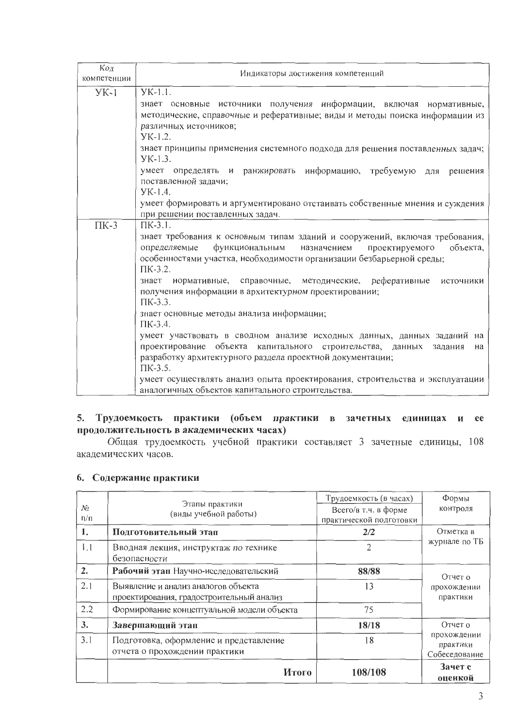| Код<br>компетенции | Индикаторы достижения компетенций                                                                                                                                                                                                                                                                                                                                                                                                                                                                                                                                                                                                                                                                                                                                                                                                                   |  |
|--------------------|-----------------------------------------------------------------------------------------------------------------------------------------------------------------------------------------------------------------------------------------------------------------------------------------------------------------------------------------------------------------------------------------------------------------------------------------------------------------------------------------------------------------------------------------------------------------------------------------------------------------------------------------------------------------------------------------------------------------------------------------------------------------------------------------------------------------------------------------------------|--|
| $YK-1$             | $YK-1.1.$<br>знает основные источники получения информации, включая нормативные,<br>методические, справочные и реферативные; виды и методы поиска информации из<br>различных источников;                                                                                                                                                                                                                                                                                                                                                                                                                                                                                                                                                                                                                                                            |  |
|                    | $YK-1.2$ .<br>знает принципы применения системного подхода для решения поставленных задач;<br>$YK-1.3.$<br>умеет определять и ранжировать информацию, требуемую для<br>решения                                                                                                                                                                                                                                                                                                                                                                                                                                                                                                                                                                                                                                                                      |  |
|                    | поставленной задачи;<br>YK-1.4.<br>умеет формировать и аргументировано отстаивать собственные мнения и суждения<br>при решении поставленных задач.                                                                                                                                                                                                                                                                                                                                                                                                                                                                                                                                                                                                                                                                                                  |  |
| $\Pi K-3$          | $\Pi K-3.1$ .<br>знает требования к основным типам зданий и сооружений, включая требования,<br>функциональным назначением<br>определяемые<br>проектируемого<br>объекта,<br>особенностями участка, необходимости организации безбарьерной среды;<br>ПК-3.2.<br>знает нормативные, справочные, методические, реферативные<br>источники<br>получения информации в архитектурном проектировании;<br>$\Pi$ K-3.3.<br>знает основные методы анализа информации;<br>$\Pi K-3.4.$<br>умеет участвовать в сводном анализе исходных данных, данных заданий на<br>проектирование объекта капитального строительства, данных<br>задания<br>на<br>разработку архитектурного раздела проектной документации;<br>$\Pi K-3.5$ .<br>умеет осуществлять анализ опыта проектирования, строительства и эксплуатации<br>аналогичных объектов капитального строительства. |  |

## 5. Трудоемкость практики (объем практики в зачетных единицах и ее продолжительность в академических часах)

Общая трудоемкость учебной практики составляет 3 зачетные единицы, 108 академических часов.

## 6. Содержание практики

| No              | Этапы практики<br>(виды учебной работы)                                         | Трудоемкость (в часах)<br>Всего/в т.ч. в форме | Формы<br>контроля                        |
|-----------------|---------------------------------------------------------------------------------|------------------------------------------------|------------------------------------------|
| $\Pi/\Pi$<br>1. | Подготовительный этап                                                           | практической подготовки<br>2/2                 | Отметка в<br>журнале по ТБ               |
| 1.1             | Вводная лекция, инструктаж по технике<br>безопасности                           | 2                                              |                                          |
| 2.              | Рабочий этап Научно-исследовательский                                           | 88/88                                          | Отчет о                                  |
| 2.1             | Выявление и анализ аналогов объекта<br>проектирования, градостроительный анализ | 13                                             | прохождении<br>практики                  |
| 2.2             | Формирование концептуальной модели объекта                                      | 75                                             |                                          |
| 3.              | Завершающий этап                                                                | 18/18                                          | Отчет о                                  |
| 3.1             | Подготовка, оформление и представление<br>отчета о прохождении практики         | 18                                             | прохождении<br>практики<br>Собеседование |
|                 | Итого                                                                           | 108/108                                        | Зачет с<br>оценкой                       |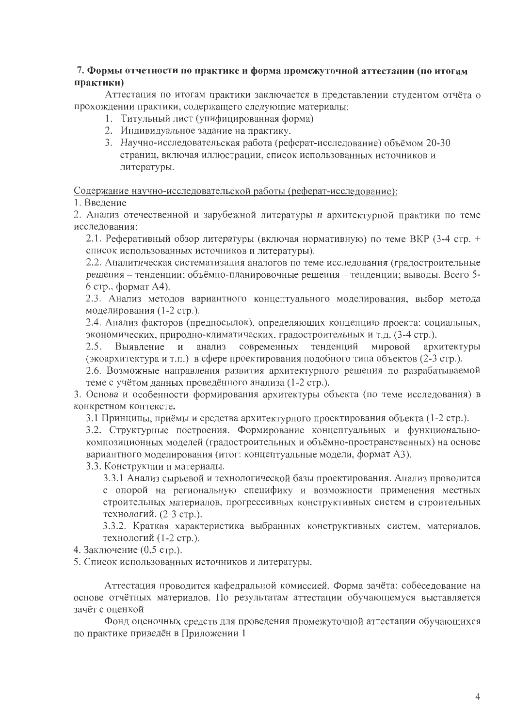## 7. Формы отчетности по практике и форма промежуточной аттестации (по итогам практики)

Аттестация по итогам практики заключается в представлении студентом отчёта о прохождении практики, содержащего следующие материалы:

- 1. Титульный лист (унифицированная форма)
- 2. Индивидуальное задание на практику.
- 3. Научно-исследовательская работа (реферат-исследование) объёмом 20-30 страниц, включая иллюстрации, список использованных источников и литературы.

Содержание научно-исследовательской работы (реферат-исследование):

1. Ввеление

2. Анализ отечественной и зарубежной литературы и архитектурной практики по теме исследования:

2.1. Реферативный обзор литературы (включая нормативную) по теме ВКР (3-4 стр. + список использованных источников и литературы).

2.2. Аналитическая систематизация аналогов по теме исследования (градостроительные решения - тенденции; объёмно-планировочные решения - тенденции; выводы. Всего 5-6 стр., формат А4).

2.3. Анализ методов вариантного концептуального моделирования, выбор метода моделирования (1-2 стр.).

2.4. Анализ факторов (предпосылок), определяющих концепцию проекта: социальных, экономических, природно-климатических, градостроительных и т.д. (3-4 стр.).

Выявление и анализ современных тенденций мировой архитектуры  $2.5.$ (экоархитектура и т.п.) в сфере проектирования подобного типа объектов (2-3 стр.).

2.6. Возможные направления развития архитектурного решения по разрабатываемой теме с учётом данных проведённого анализа (1-2 стр.).

3. Основа и особенности формирования архитектуры объекта (по теме исследования) в конкретном контексте.

3.1 Принципы, приёмы и средства архитектурного проектирования объекта (1-2 стр.).

3.2. Структурные построения. Формирование концептуальных и функциональнокомпозиционных моделей (градостроительных и объёмно-пространственных) на основе вариантного моделирования (итог: концептуальные модели, формат А3).

3.3. Конструкции и материалы.

3.3.1 Анализ сырьевой и технологической базы проектирования. Анализ проводится с опорой на региональную специфику и возможности применения местных строительных материалов, прогрессивных конструктивных систем и строительных технологий. (2-3 стр.).

3.3.2. Краткая характеристика выбранных конструктивных систем, материалов, технологий (1-2 стр.).

4. Заключение (0,5 стр.).

5. Список использованных источников и литературы.

Аттестация проводится кафедральной комиссией. Форма зачёта: собеседование на основе отчётных материалов. По результатам аттестации обучающемуся выставляется зачёт с оценкой

Фонд оценочных средств для проведения промежуточной аттестации обучающихся по практике приведён в Приложении 1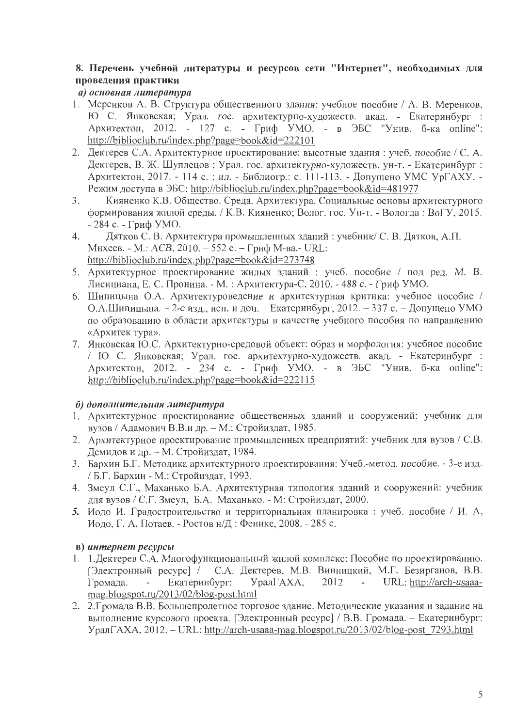# 8. Перечень учебной литературы и ресурсов сети "Интернет", необходимых для проведения практики

# а) основная литература

- 1. Меренков А. В. Структура общественного здания: учебное пособие / А. В. Меренков, Ю С. Янковская; Урал. гос. архитектурно-художеств. акад. - Екатеринбург : Архитектон, 2012. - 127 с. - Гриф УМО. - в ЭБС "Унив. б-ка online": http://biblioclub.ru/index.php?page=book&id=222101
- 2. Дектерев С.А. Архитектурное проектирование: высотные здания: учеб. пособие / С. А. Дектерев, В. Ж. Шуплецов; Урал. гос. архитектурно-художеств. ун-т. - Екатеринбург; Архитектон, 2017. - 114 с. : ил. - Библиогр.: с. 111-113. - Допущено УМС УрГАХУ. -Режим доступа в ЭБС: http://biblioclub.ru/index.php?page=book&id=481977
- Кияненко К.В. Общество. Среда. Архитектура. Социальные основы архитектурного  $3.$ формирования жилой среды. / К.В. Кияненко; Волог. гос. Ун-т. - Вологда: ВоГУ, 2015.  $-284$  с. - Гриф УМО.
- Дятков С. В. Архитектура промышленных зданий: учебник/ С. В. Дятков, А.П. 4. Михеев. - М.: ACB, 2010. - 552 с. - Гриф М-ва.- URL: http://biblioclub.ru/index.php?page=book&id=273748
- 5. Архитектурное проектирование жилых зданий: учеб. пособие / под ред. М. В. Лисициана, Е. С. Пронина. - М. : Архитектура-С, 2010. - 488 с. - Гриф УМО.
- 6. Шипицына О.А. Архитектуроведение и архитектурная критика: учебное пособие / О.А.Шипицына. - 2-е изд., исп. и доп. - Екатеринбург, 2012. - 337 с. - Допущено УМО по образованию в области архитектуры в качестве учебного пособия по направлению «Архитек тура».
- 7. Янковская Ю.С. Архитектурно-средовой объект: образ и морфология: учебное пособие / Ю С. Янковская; Урал. гос. архитектурно-художеств. акад. - Екатеринбург: Архитектон, 2012. - 234 с. - Гриф УМО. - в ЭБС "Унив. б-ка online": http://biblioclub.ru/index.php?page=book&id=222115

# б) дополнительная литература

- 1. Архитектурное проектирование общественных зданий и сооружений: учебник для вузов / Адамович В.В.и др. - М.: Стройиздат, 1985.
- 2. Архитектурное проектирование промышленных предприятий: учебник для вузов / С.В. Демидов и др. - М. Стройиздат, 1984.
- 3. Бархин Б.Г. Методика архитектурного проектирования: Учеб.-метод. пособие. 3-е изд. / Б.Г. Бархин - М.: Стройиздат, 1993.
- 4. Змеул С.Г., Маханько Б.А. Архитектурная типология зданий и сооружений: учебник для вузов / С.Г. Змеул, Б.А. Маханько. - М: Стройиздат, 2000.
- 5. Иодо И. Градостроительство и территориальная планировка: учеб. пособие / И. А. Иодо, Г. А. Потаев. - Ростов н/Д: Феникс, 2008. - 285 с.

# в) интернет ресурсы

- 1. 1. Дектерев С.А. Многофункциональный жилой комплекс: Пособие по проектированию. [Электронный ресурс] / С.А. Дектерев, М.В. Винницкий, М.Г. Безирганов, В.В. Громада. Екатеринбург: УралГАХА, 2012  $\mathbb{Z}^2$ URL: http://arch-usaaamag.blogspot.ru/2013/02/blog-post.html
- 2. 2. Громада В.В. Большепролетное торговое здание. Методические указания и задание на выполнение курсового проекта. [Электронный ресурс] / В.В. Громада. - Екатеринбург: УралГАХА, 2012. - URL: http://arch-usaaa-mag.blogspot.ru/2013/02/blog-post 7293.html